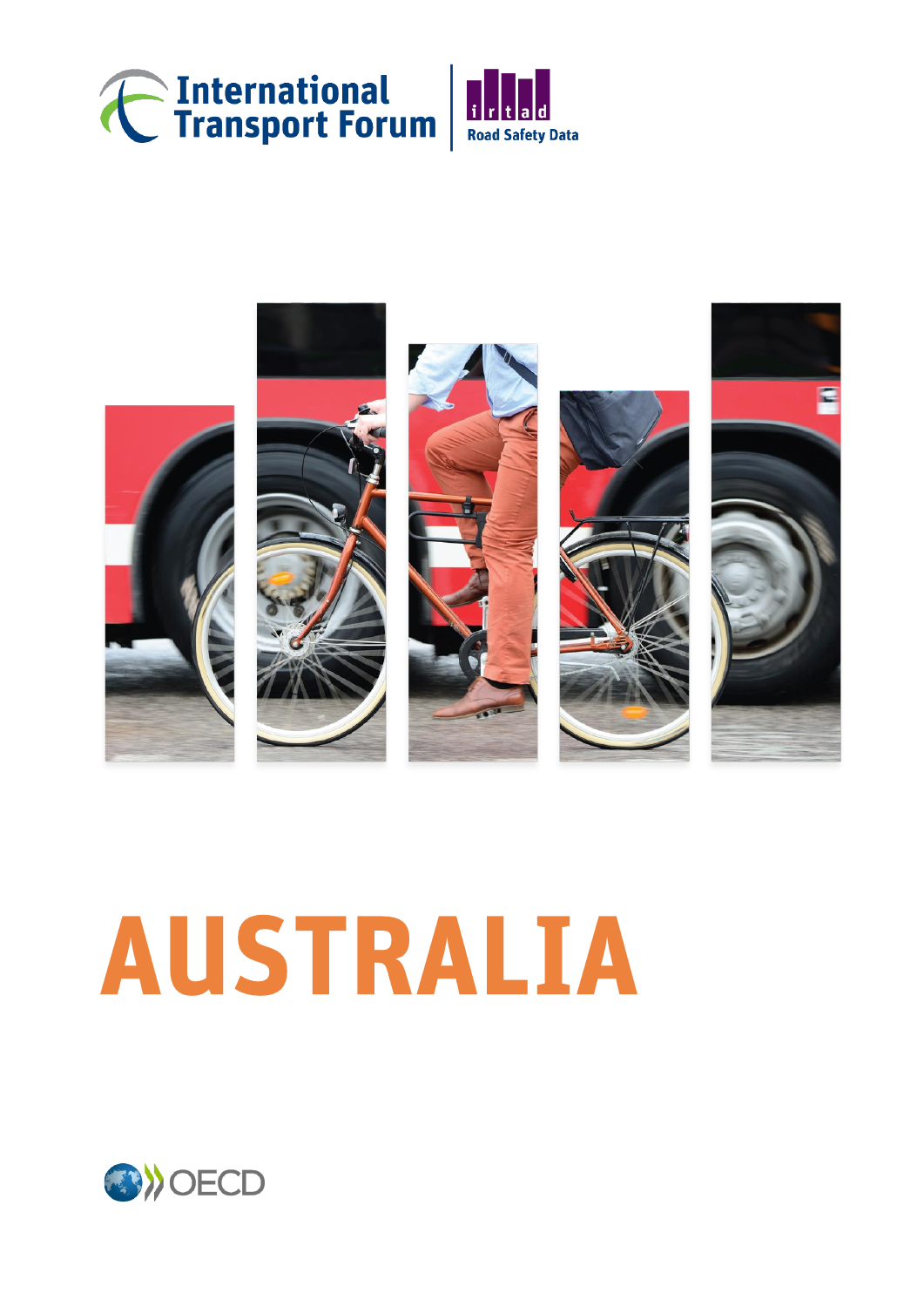



# **AUSTRALIA**

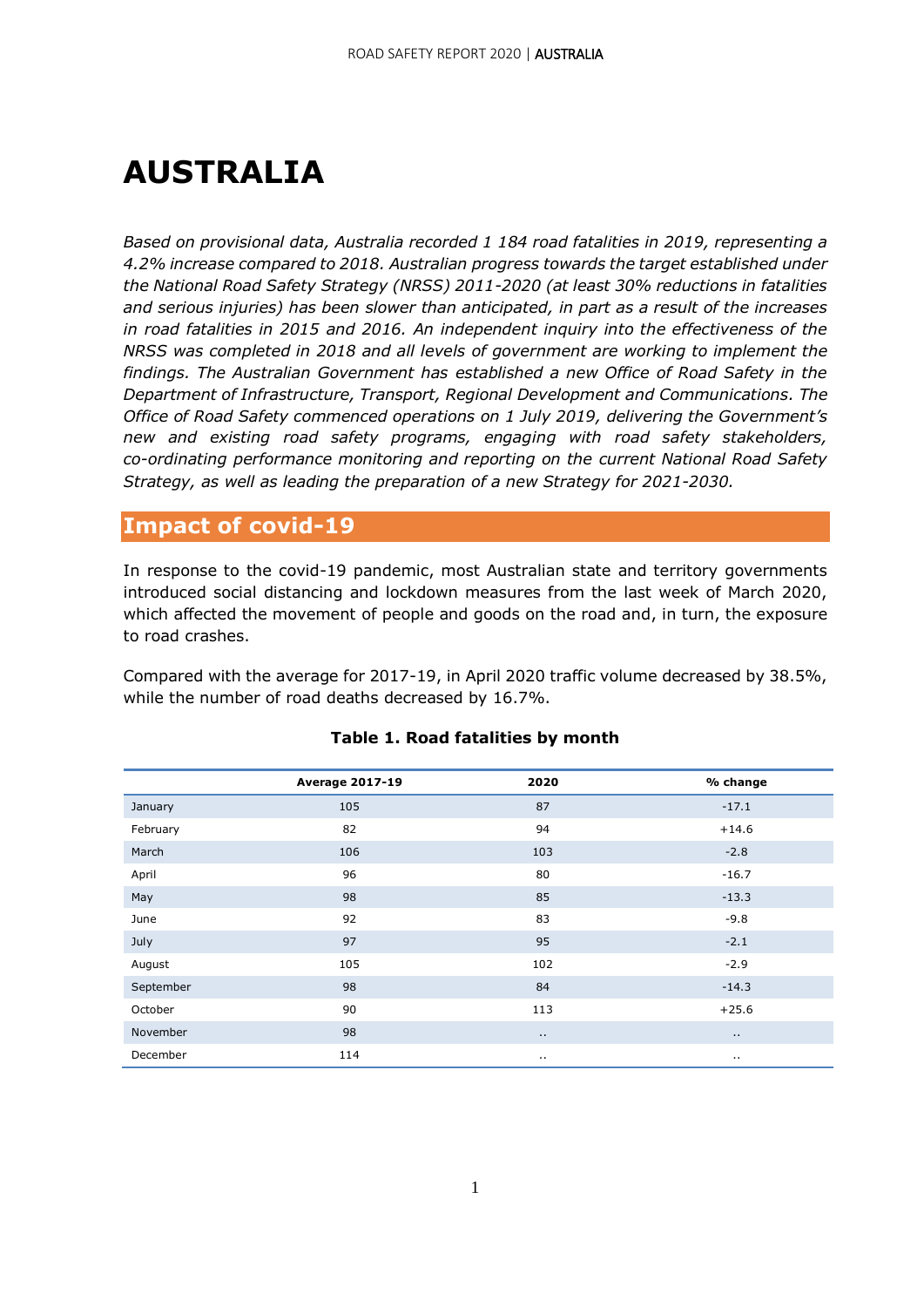## **AUSTRALIA**

*Based on provisional data, Australia recorded 1 184 road fatalities in 2019, representing a 4.2% increase compared to 2018. Australian progress towards the target established under the National Road Safety Strategy (NRSS) 2011-2020 (at least 30% reductions in fatalities and serious injuries) has been slower than anticipated, in part as a result of the increases in road fatalities in 2015 and 2016. An independent inquiry into the effectiveness of the NRSS was completed in 2018 and all levels of government are working to implement the findings. The Australian Government has established a new Office of Road Safety in the Department of Infrastructure, Transport, Regional Development and Communications. The Office of Road Safety commenced operations on 1 July 2019, delivering the Government's new and existing road safety programs, engaging with road safety stakeholders, co-ordinating performance monitoring and reporting on the current National Road Safety Strategy, as well as leading the preparation of a new Strategy for 2021-2030.*

#### **Impact of covid-19**

In response to the covid-19 pandemic, most Australian state and territory governments introduced social distancing and lockdown measures from the last week of March 2020, which affected the movement of people and goods on the road and, in turn, the exposure to road crashes.

Compared with the average for 2017-19, in April 2020 traffic volume decreased by 38.5%, while the number of road deaths decreased by 16.7%.

|           | <b>Average 2017-19</b> | 2020      | % change |
|-----------|------------------------|-----------|----------|
| January   | 105                    | 87        | $-17.1$  |
| February  | 82                     | 94        | $+14.6$  |
| March     | 106                    | 103       | $-2.8$   |
| April     | 96                     | 80        | $-16.7$  |
| May       | 98                     | 85        | $-13.3$  |
| June      | 92                     | 83        | $-9.8$   |
| July      | 97                     | 95        | $-2.1$   |
| August    | 105                    | 102       | $-2.9$   |
| September | 98                     | 84        | $-14.3$  |
| October   | 90                     | 113       | $+25.6$  |
| November  | 98                     | $\cdot$ . | $\ldots$ |
| December  | 114                    | $\cdot$ . |          |

#### **Table 1. Road fatalities by month**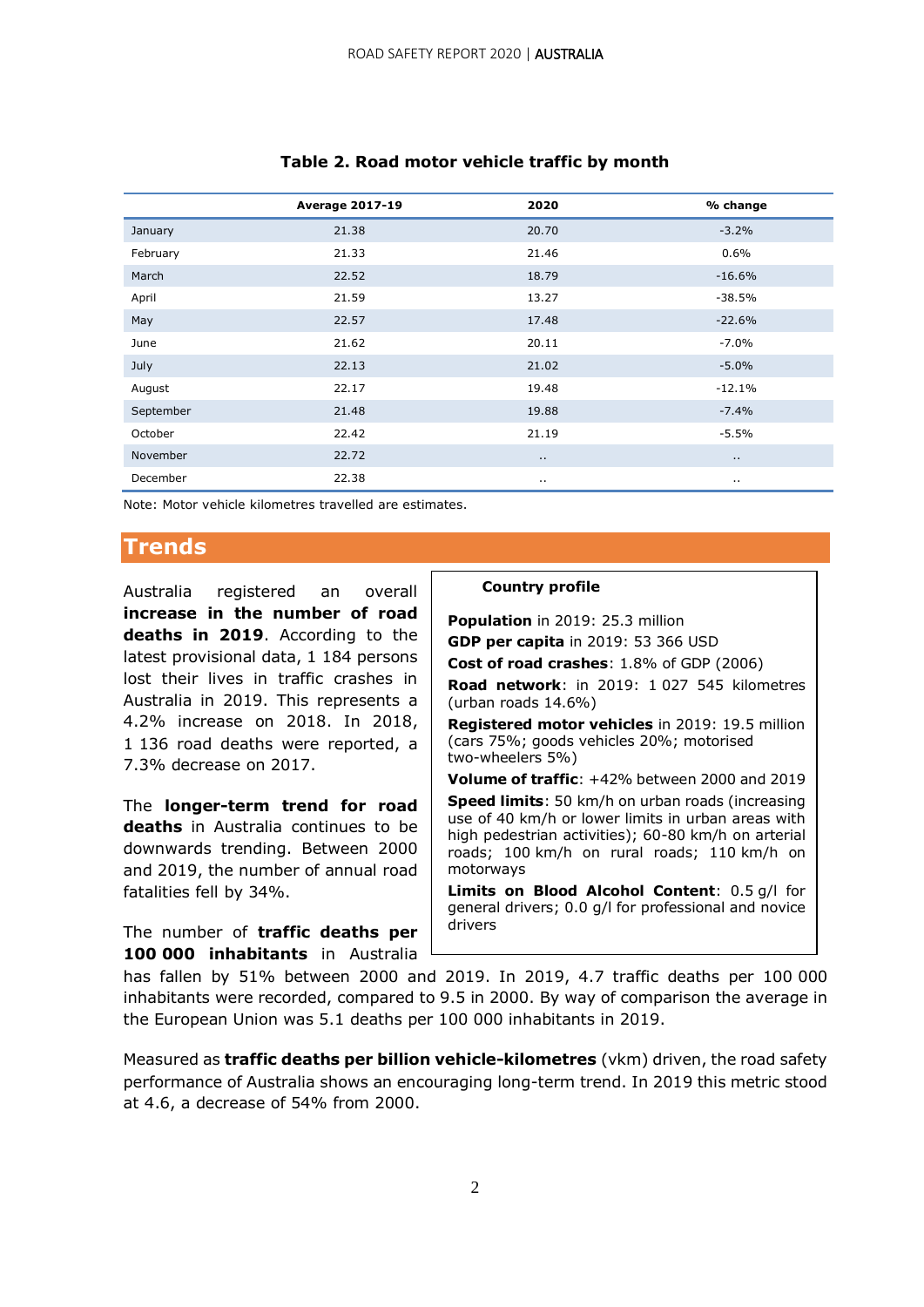|           | <b>Average 2017-19</b> | 2020     | % change |
|-----------|------------------------|----------|----------|
| January   | 21.38                  | 20.70    | $-3.2%$  |
| February  | 21.33                  | 21.46    | 0.6%     |
| March     | 22.52                  | 18.79    | $-16.6%$ |
| April     | 21.59                  | 13.27    | $-38.5%$ |
| May       | 22.57                  | 17.48    | $-22.6%$ |
| June      | 21.62                  | 20.11    | $-7.0%$  |
| July      | 22.13                  | 21.02    | $-5.0%$  |
| August    | 22.17                  | 19.48    | $-12.1%$ |
| September | 21.48                  | 19.88    | $-7.4%$  |
| October   | 22.42                  | 21.19    | $-5.5%$  |
| November  | 22.72                  | $\sim$   | $\ldots$ |
| December  | 22.38                  | $\cdots$ | $\cdots$ |

#### **Table 2. Road motor vehicle traffic by month**

Note: Motor vehicle kilometres travelled are estimates.

#### **Trends**

Australia registered an overall **increase in the number of road deaths in 2019**. According to the latest provisional data, 1 184 persons lost their lives in traffic crashes in Australia in 2019. This represents a 4.2% increase on 2018. In 2018, 1 136 road deaths were reported, a 7.3% decrease on 2017.

The **longer-term trend for road deaths** in Australia continues to be downwards trending. Between 2000 and 2019, the number of annual road fatalities fell by 34%.

The number of **traffic deaths per 100 000 inhabitants** in Australia

#### **Country profile**

 **Population** in 2019: 25.3 million **GDP per capita** in 2019: 53 366 USD

 **Cost of road crashes**: 1.8% of GDP (2006) **Road network**: in 2019: 1 027 545 kilometres (urban roads 14.6%)

 **Registered motor vehicles** in 2019: 19.5 million (cars 75%; goods vehicles 20%; motorised two-wheelers 5%)

**Volume of traffic**: +42% between 2000 and 2019

 **Speed limits**: 50 km/h on urban roads (increasing use of 40 km/h or lower limits in urban areas with high pedestrian activities); 60-80 km/h on arterial roads; 100 km/h on rural roads; 110 km/h on motorways

 **Limits on Blood Alcohol Content**: 0.5 g/l for general drivers; 0.0 g/l for professional and novice drivers

has fallen by 51% between 2000 and 2019. In 2019, 4.7 traffic deaths per 100 000 inhabitants were recorded, compared to 9.5 in 2000. By way of comparison the average in the European Union was 5.1 deaths per 100 000 inhabitants in 2019.

Measured as **traffic deaths per billion vehicle-kilometres** (vkm) driven, the road safety performance of Australia shows an encouraging long-term trend. In 2019 this metric stood at 4.6, a decrease of 54% from 2000.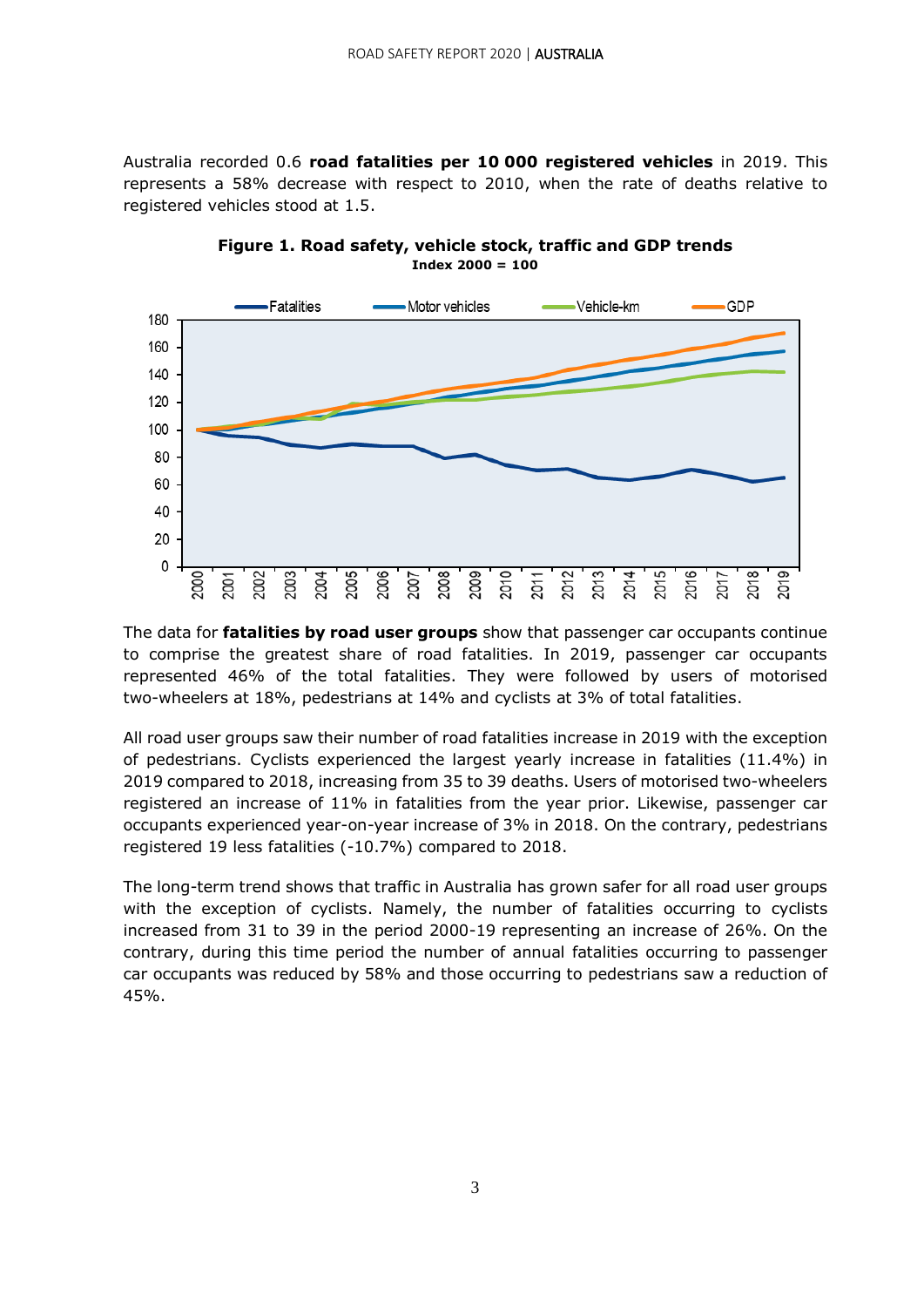Australia recorded 0.6 **road fatalities per 10 000 registered vehicles** in 2019. This represents a 58% decrease with respect to 2010, when the rate of deaths relative to registered vehicles stood at 1.5.



**Figure 1. Road safety, vehicle stock, traffic and GDP trends Index 2000 = 100**

The data for **fatalities by road user groups** show that passenger car occupants continue to comprise the greatest share of road fatalities. In 2019, passenger car occupants represented 46% of the total fatalities. They were followed by users of motorised two-wheelers at 18%, pedestrians at 14% and cyclists at 3% of total fatalities.

All road user groups saw their number of road fatalities increase in 2019 with the exception of pedestrians. Cyclists experienced the largest yearly increase in fatalities (11.4%) in 2019 compared to 2018, increasing from 35 to 39 deaths. Users of motorised two-wheelers registered an increase of 11% in fatalities from the year prior. Likewise, passenger car occupants experienced year-on-year increase of 3% in 2018. On the contrary, pedestrians registered 19 less fatalities (-10.7%) compared to 2018.

The long-term trend shows that traffic in Australia has grown safer for all road user groups with the exception of cyclists. Namely, the number of fatalities occurring to cyclists increased from 31 to 39 in the period 2000-19 representing an increase of 26%. On the contrary, during this time period the number of annual fatalities occurring to passenger car occupants was reduced by 58% and those occurring to pedestrians saw a reduction of 45%.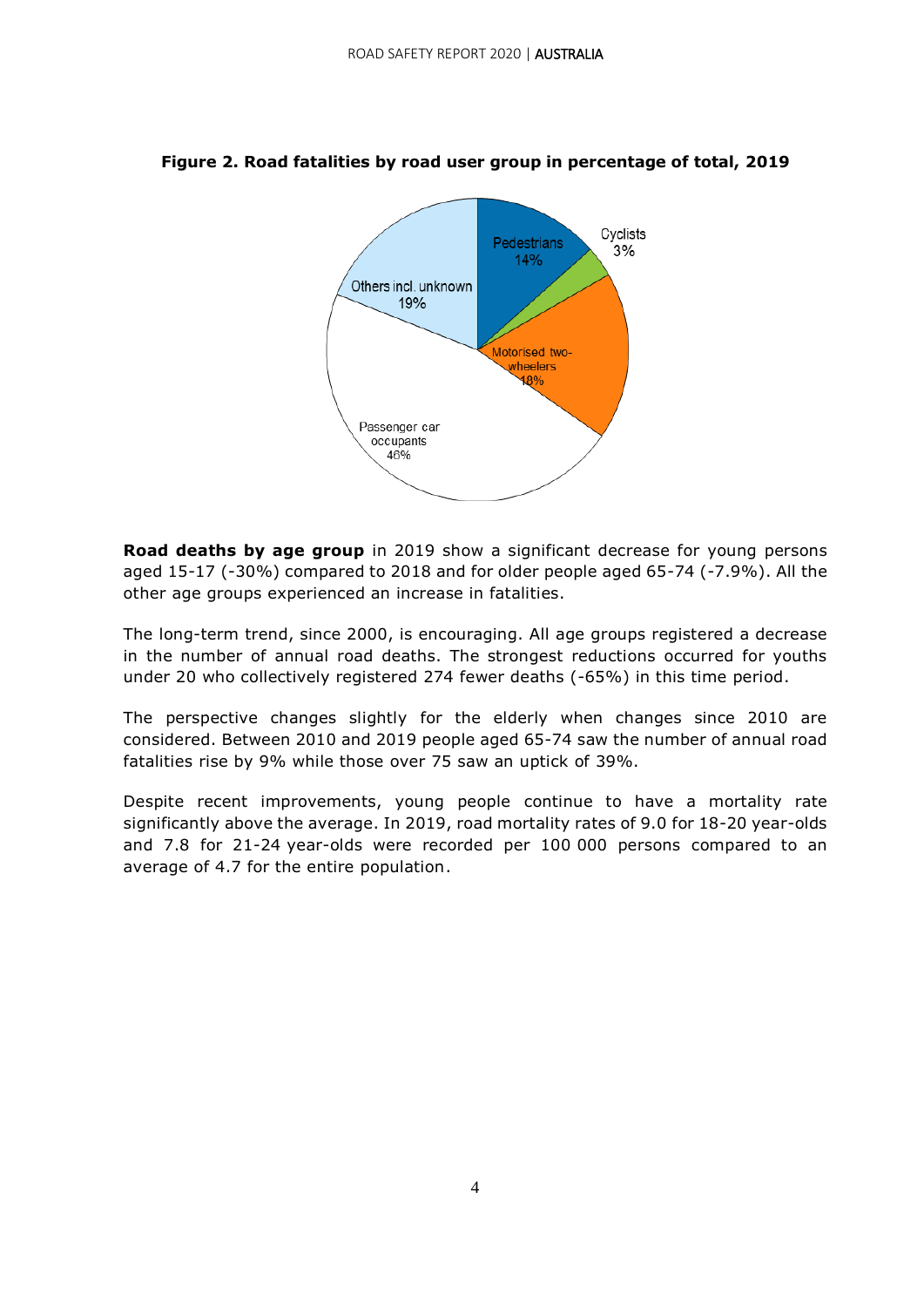

#### **Figure 2. Road fatalities by road user group in percentage of total, 2019**

**Road deaths by age group** in 2019 show a significant decrease for young persons aged 15-17 (-30%) compared to 2018 and for older people aged 65-74 (-7.9%). All the other age groups experienced an increase in fatalities.

The long-term trend, since 2000, is encouraging. All age groups registered a decrease in the number of annual road deaths. The strongest reductions occurred for youths under 20 who collectively registered 274 fewer deaths (-65%) in this time period.

The perspective changes slightly for the elderly when changes since 2010 are considered. Between 2010 and 2019 people aged 65-74 saw the number of annual road fatalities rise by 9% while those over 75 saw an uptick of 39%.

Despite recent improvements, young people continue to have a mortality rate significantly above the average. In 2019, road mortality rates of 9.0 for 18-20 year-olds and 7.8 for 21-24 year-olds were recorded per 100 000 persons compared to an average of 4.7 for the entire population.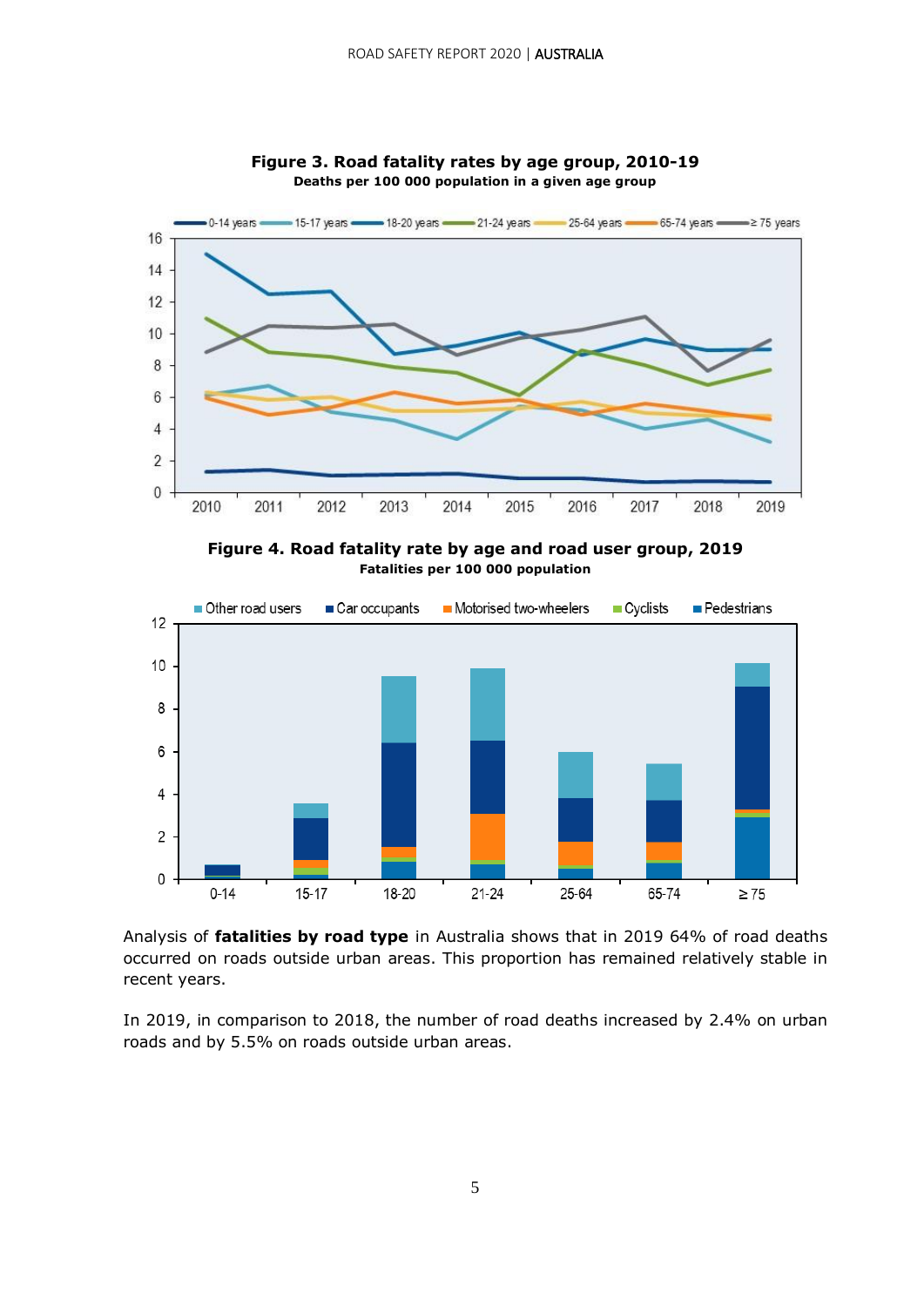

**Figure 3. Road fatality rates by age group, 2010-19 Deaths per 100 000 population in a given age group**

**Figure 4. Road fatality rate by age and road user group, 2019 Fatalities per 100 000 population**



Analysis of **fatalities by road type** in Australia shows that in 2019 64% of road deaths occurred on roads outside urban areas. This proportion has remained relatively stable in recent years.

In 2019, in comparison to 2018, the number of road deaths increased by 2.4% on urban roads and by 5.5% on roads outside urban areas.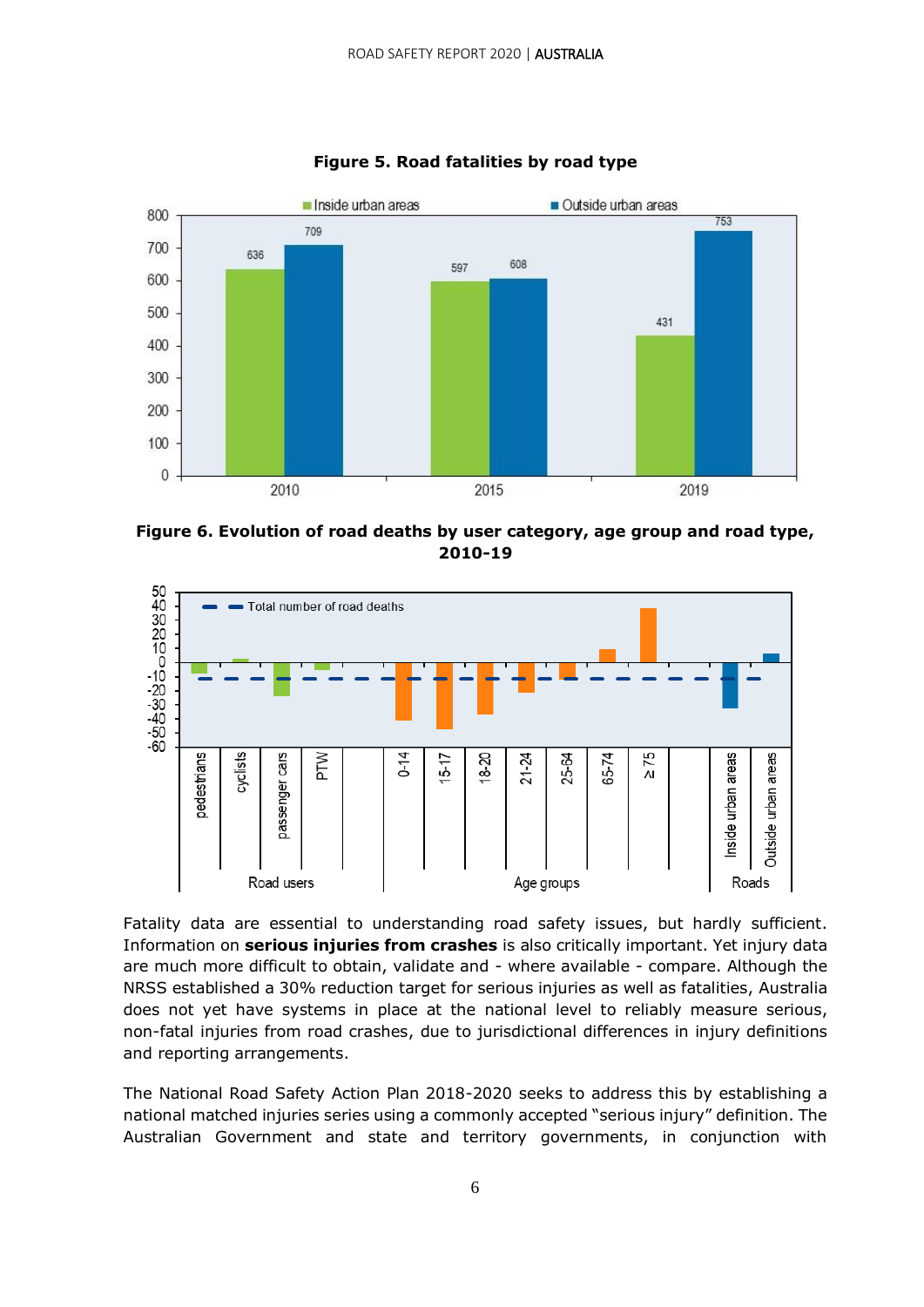

**Figure 5. Road fatalities by road type**

**Figure 6. Evolution of road deaths by user category, age group and road type, 2010-19**



Fatality data are essential to understanding road safety issues, but hardly sufficient. Information on **serious injuries from crashes** is also critically important. Yet injury data are much more difficult to obtain, validate and - where available - compare. Although the NRSS established a 30% reduction target for serious injuries as well as fatalities, Australia does not yet have systems in place at the national level to reliably measure serious, non-fatal injuries from road crashes, due to jurisdictional differences in injury definitions and reporting arrangements.

The National Road Safety Action Plan 2018-2020 seeks to address this by establishing a national matched injuries series using a commonly accepted "serious injury" definition. The Australian Government and state and territory governments, in conjunction with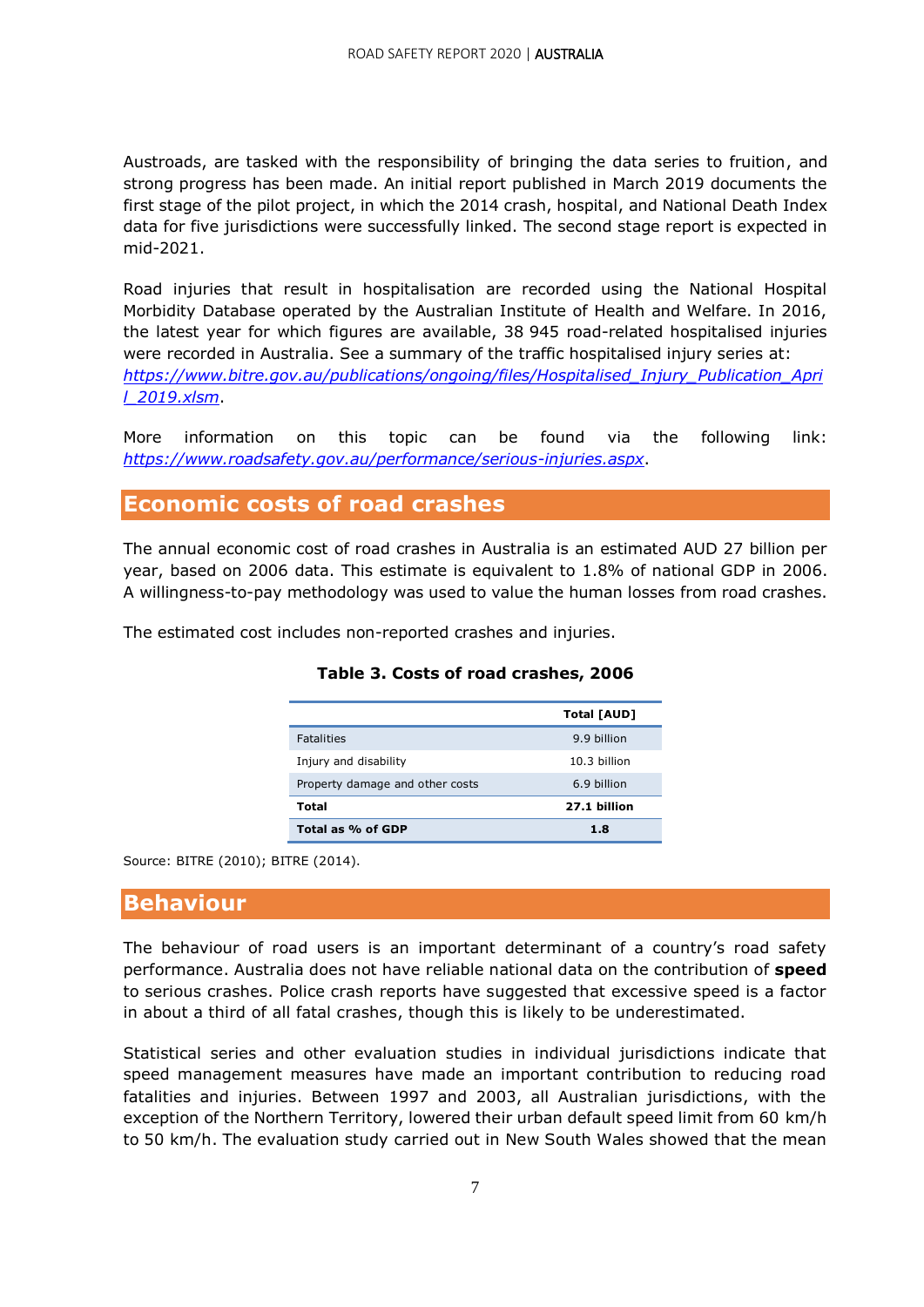Austroads, are tasked with the responsibility of bringing the data series to fruition, and strong progress has been made. An initial report published in March 2019 documents the first stage of the pilot project, in which the 2014 crash, hospital, and National Death Index data for five jurisdictions were successfully linked. The second stage report is expected in mid-2021.

Road injuries that result in hospitalisation are recorded using the National Hospital Morbidity Database operated by the Australian Institute of Health and Welfare. In 2016, the latest year for which figures are available, 38 945 road-related hospitalised injuries were recorded in Australia. See a summary of the traffic hospitalised injury series at: *[https://www.bitre.gov.au/publications/ongoing/files/Hospitalised\\_Injury\\_Publication\\_Apri](https://www.bitre.gov.au/publications/ongoing/files/Hospitalised_Injury_Publication_April_2019.xlsm) [l\\_2019.xlsm](https://www.bitre.gov.au/publications/ongoing/files/Hospitalised_Injury_Publication_April_2019.xlsm)*.

More information on this topic can be found via the following link: *<https://www.roadsafety.gov.au/performance/serious-injuries.aspx>*.

#### **Economic costs of road crashes**

The annual economic cost of road crashes in Australia is an estimated AUD 27 billion per year, based on 2006 data. This estimate is equivalent to 1.8% of national GDP in 2006. A willingness-to-pay methodology was used to value the human losses from road crashes.

The estimated cost includes non-reported crashes and injuries.

|                                 | Total [AUD]    |
|---------------------------------|----------------|
| <b>Fatalities</b>               | 9.9 billion    |
| Injury and disability           | $10.3$ hillion |
| Property damage and other costs | 6.9 billion    |
| Total                           | 27.1 billion   |
| Total as % of GDP               | 1.8            |

#### **Table 3. Costs of road crashes, 2006**

Source: BITRE (2010); BITRE (2014).

#### **Behaviour**

The behaviour of road users is an important determinant of a country's road safety performance. Australia does not have reliable national data on the contribution of **speed** to serious crashes. Police crash reports have suggested that excessive speed is a factor in about a third of all fatal crashes, though this is likely to be underestimated.

Statistical series and other evaluation studies in individual jurisdictions indicate that speed management measures have made an important contribution to reducing road fatalities and injuries. Between 1997 and 2003, all Australian jurisdictions, with the exception of the Northern Territory, lowered their urban default speed limit from 60 km/h to 50 km/h. The evaluation study carried out in New South Wales showed that the mean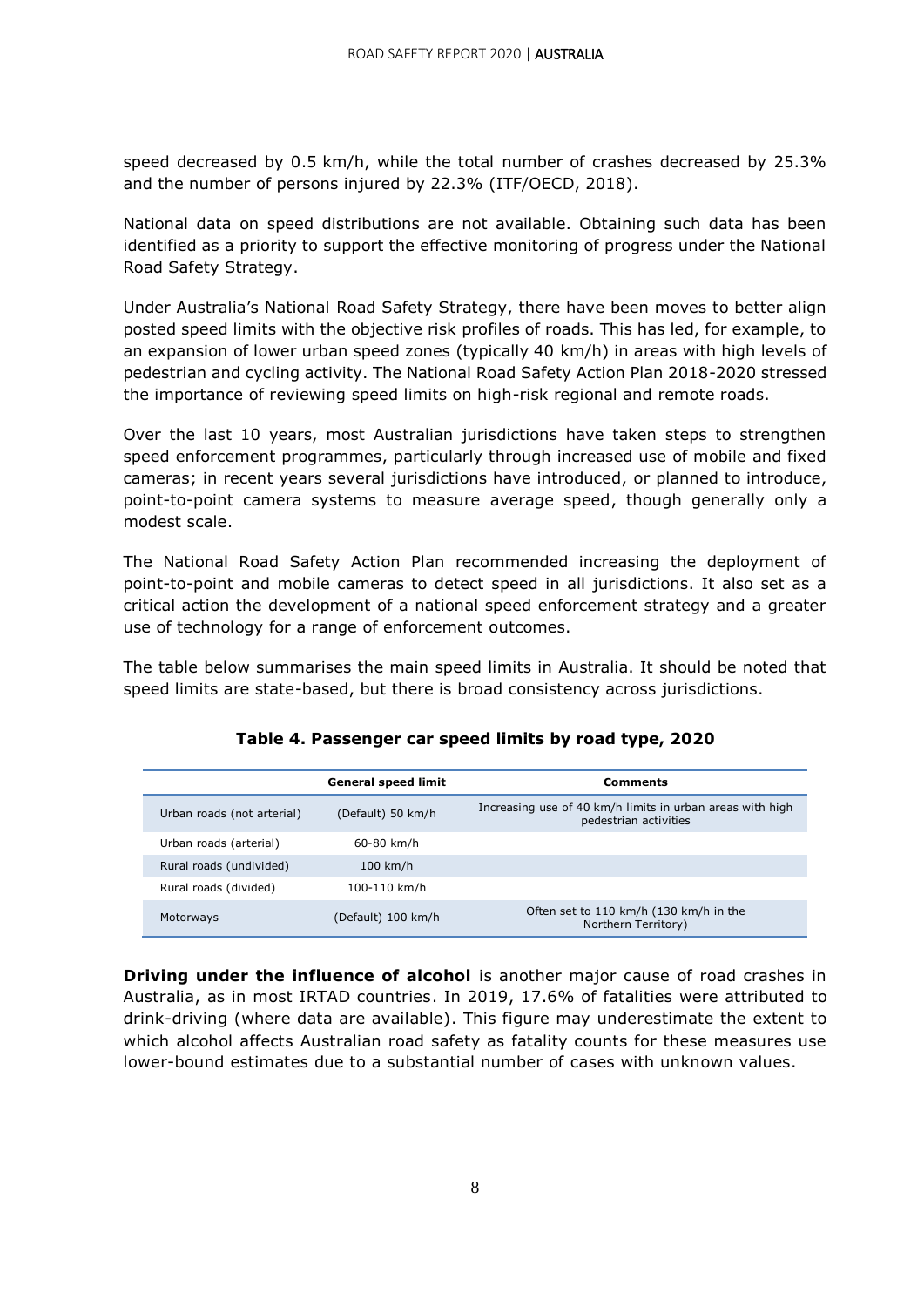speed decreased by 0.5 km/h, while the total number of crashes decreased by 25.3% and the number of persons injured by 22.3% (ITF/OECD, 2018).

National data on speed distributions are not available. Obtaining such data has been identified as a priority to support the effective monitoring of progress under the National Road Safety Strategy.

Under Australia's National Road Safety Strategy, there have been moves to better align posted speed limits with the objective risk profiles of roads. This has led, for example, to an expansion of lower urban speed zones (typically 40 km/h) in areas with high levels of pedestrian and cycling activity. The National Road Safety Action Plan 2018-2020 stressed the importance of reviewing speed limits on high-risk regional and remote roads.

Over the last 10 years, most Australian jurisdictions have taken steps to strengthen speed enforcement programmes, particularly through increased use of mobile and fixed cameras; in recent years several jurisdictions have introduced, or planned to introduce, point-to-point camera systems to measure average speed, though generally only a modest scale.

The National Road Safety Action Plan recommended increasing the deployment of point-to-point and mobile cameras to detect speed in all jurisdictions. It also set as a critical action the development of a national speed enforcement strategy and a greater use of technology for a range of enforcement outcomes.

The table below summarises the main speed limits in Australia. It should be noted that speed limits are state-based, but there is broad consistency across jurisdictions.

|                            | <b>General speed limit</b> | <b>Comments</b>                                                                    |
|----------------------------|----------------------------|------------------------------------------------------------------------------------|
| Urban roads (not arterial) | (Default) 50 km/h          | Increasing use of 40 km/h limits in urban areas with high<br>pedestrian activities |
| Urban roads (arterial)     | 60-80 km/h                 |                                                                                    |
| Rural roads (undivided)    | $100$ km/h                 |                                                                                    |
| Rural roads (divided)      | 100-110 km/h               |                                                                                    |
| Motorways                  | (Default) 100 km/h         | Often set to 110 km/h (130 km/h in the<br>Northern Territory)                      |

**Table 4. Passenger car speed limits by road type, 2020**

**Driving under the influence of alcohol** is another major cause of road crashes in Australia, as in most IRTAD countries. In 2019, 17.6% of fatalities were attributed to drink-driving (where data are available). This figure may underestimate the extent to which alcohol affects Australian road safety as fatality counts for these measures use lower-bound estimates due to a substantial number of cases with unknown values.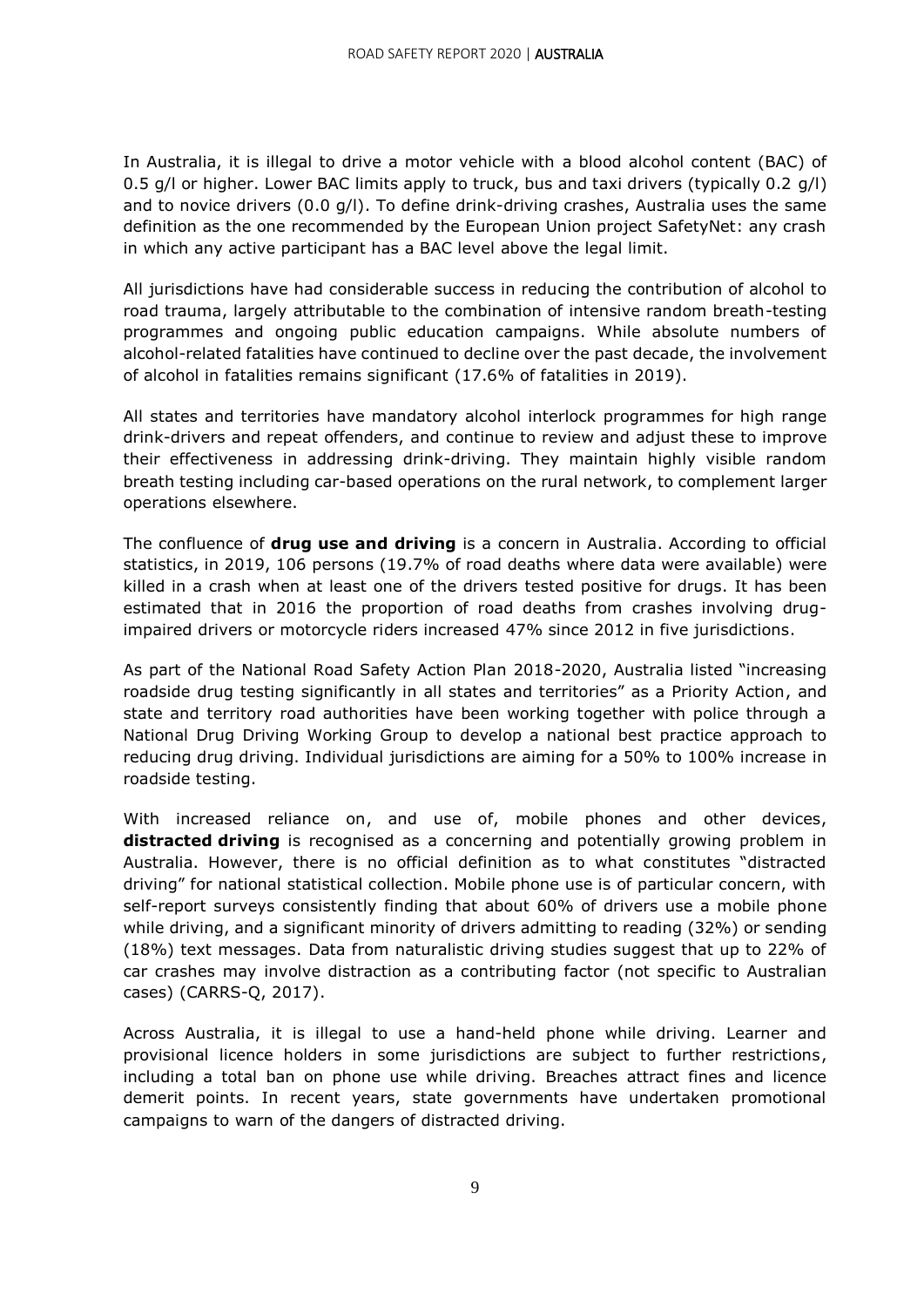In Australia, it is illegal to drive a motor vehicle with a blood alcohol content (BAC) of 0.5 g/l or higher. Lower BAC limits apply to truck, bus and taxi drivers (typically 0.2 g/l) and to novice drivers (0.0 g/l). To define drink-driving crashes, Australia uses the same definition as the one recommended by the European Union project SafetyNet: any crash in which any active participant has a BAC level above the legal limit.

All jurisdictions have had considerable success in reducing the contribution of alcohol to road trauma, largely attributable to the combination of intensive random breath-testing programmes and ongoing public education campaigns. While absolute numbers of alcohol-related fatalities have continued to decline over the past decade, the involvement of alcohol in fatalities remains significant (17.6% of fatalities in 2019).

All states and territories have mandatory alcohol interlock programmes for high range drink-drivers and repeat offenders, and continue to review and adjust these to improve their effectiveness in addressing drink-driving. They maintain highly visible random breath testing including car-based operations on the rural network, to complement larger operations elsewhere.

The confluence of **drug use and driving** is a concern in Australia. According to official statistics, in 2019, 106 persons (19.7% of road deaths where data were available) were killed in a crash when at least one of the drivers tested positive for drugs. It has been estimated that in 2016 the proportion of road deaths from crashes involving drugimpaired drivers or motorcycle riders increased 47% since 2012 in five jurisdictions.

As part of the National Road Safety Action Plan 2018-2020, Australia listed "increasing roadside drug testing significantly in all states and territories" as a Priority Action, and state and territory road authorities have been working together with police through a National Drug Driving Working Group to develop a national best practice approach to reducing drug driving. Individual jurisdictions are aiming for a 50% to 100% increase in roadside testing.

With increased reliance on, and use of, mobile phones and other devices, **distracted driving** is recognised as a concerning and potentially growing problem in Australia. However, there is no official definition as to what constitutes "distracted driving" for national statistical collection. Mobile phone use is of particular concern, with self-report surveys consistently finding that about 60% of drivers use a mobile phone while driving, and a significant minority of drivers admitting to reading (32%) or sending (18%) text messages. Data from naturalistic driving studies suggest that up to 22% of car crashes may involve distraction as a contributing factor (not specific to Australian cases) (CARRS-Q, 2017).

Across Australia, it is illegal to use a hand-held phone while driving. Learner and provisional licence holders in some jurisdictions are subject to further restrictions, including a total ban on phone use while driving. Breaches attract fines and licence demerit points. In recent years, state governments have undertaken promotional campaigns to warn of the dangers of distracted driving.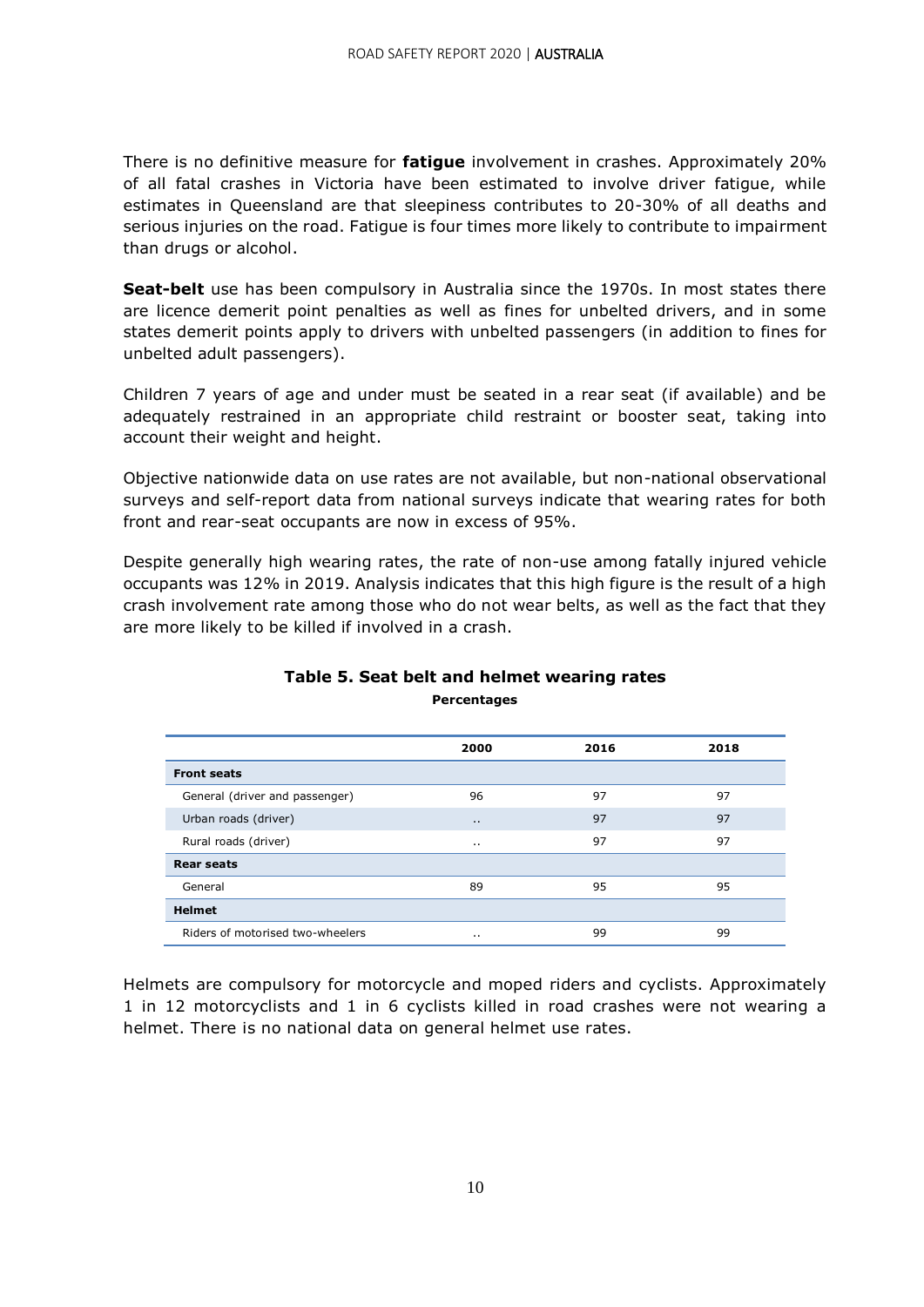There is no definitive measure for **fatigue** involvement in crashes. Approximately 20% of all fatal crashes in Victoria have been estimated to involve driver fatigue, while estimates in Queensland are that sleepiness contributes to 20-30% of all deaths and serious injuries on the road. Fatigue is four times more likely to contribute to impairment than drugs or alcohol.

**Seat-belt** use has been compulsory in Australia since the 1970s. In most states there are licence demerit point penalties as well as fines for unbelted drivers, and in some states demerit points apply to drivers with unbelted passengers (in addition to fines for unbelted adult passengers).

Children 7 years of age and under must be seated in a rear seat (if available) and be adequately restrained in an appropriate child restraint or booster seat, taking into account their weight and height.

Objective nationwide data on use rates are not available, but non-national observational surveys and self-report data from national surveys indicate that wearing rates for both front and rear-seat occupants are now in excess of 95%.

Despite generally high wearing rates, the rate of non-use among fatally injured vehicle occupants was 12% in 2019. Analysis indicates that this high figure is the result of a high crash involvement rate among those who do not wear belts, as well as the fact that they are more likely to be killed if involved in a crash.

|                                  | 2000      | 2016 | 2018 |
|----------------------------------|-----------|------|------|
| <b>Front seats</b>               |           |      |      |
| General (driver and passenger)   | 96        | 97   | 97   |
| Urban roads (driver)             | $\cdot$ . | 97   | 97   |
| Rural roads (driver)             | $\cdot$ . | 97   | 97   |
| <b>Rear seats</b>                |           |      |      |
| General                          | 89        | 95   | 95   |
| <b>Helmet</b>                    |           |      |      |
| Riders of motorised two-wheelers | $\cdot$ . | 99   | 99   |

#### **Table 5. Seat belt and helmet wearing rates Percentages**

Helmets are compulsory for motorcycle and moped riders and cyclists. Approximately 1 in 12 motorcyclists and 1 in 6 cyclists killed in road crashes were not wearing a helmet. There is no national data on general helmet use rates.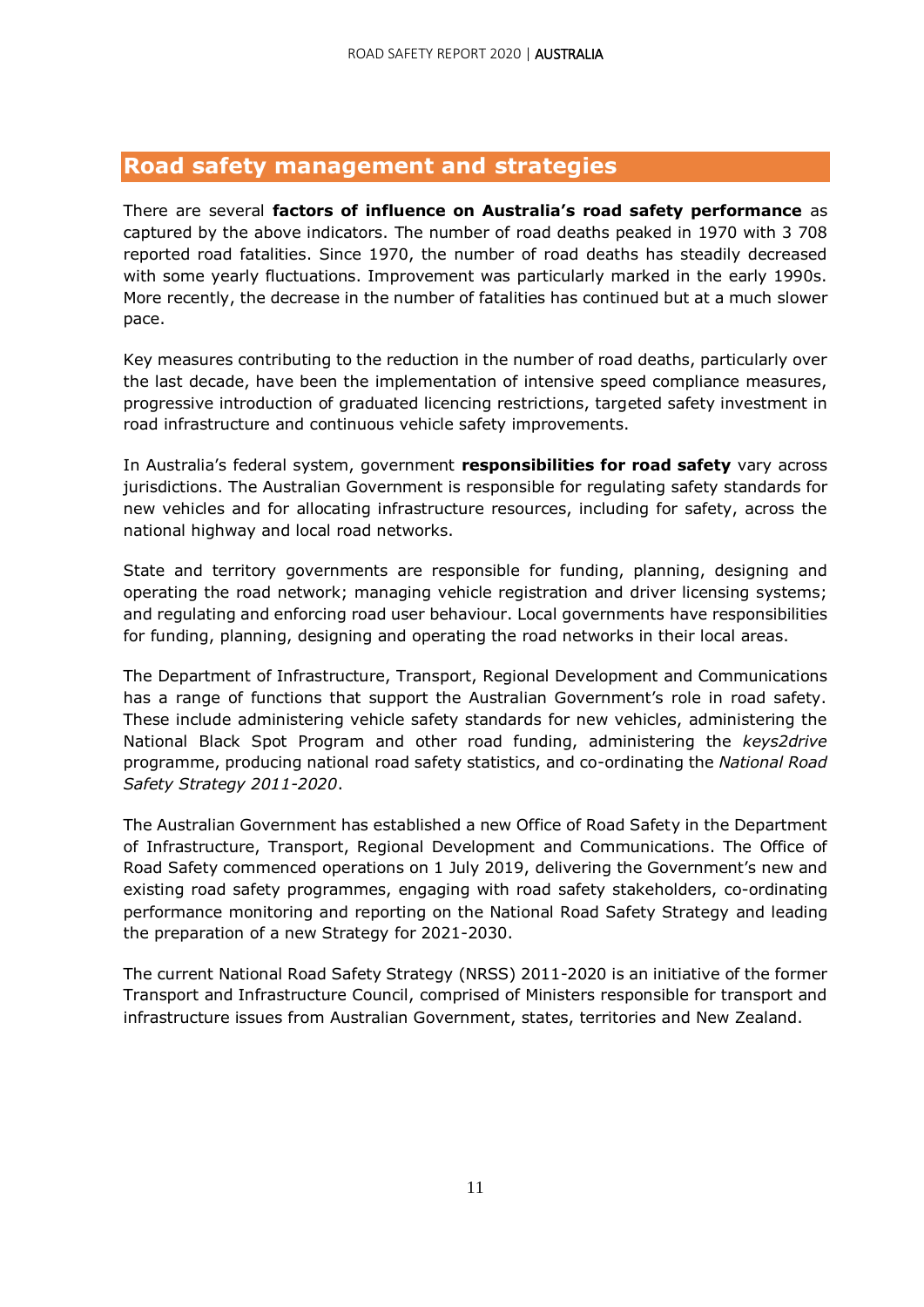#### **Road safety management and strategies**

There are several **factors of influence on Australia's road safety performance** as captured by the above indicators. The number of road deaths peaked in 1970 with 3 708 reported road fatalities. Since 1970, the number of road deaths has steadily decreased with some yearly fluctuations. Improvement was particularly marked in the early 1990s. More recently, the decrease in the number of fatalities has continued but at a much slower pace.

Key measures contributing to the reduction in the number of road deaths, particularly over the last decade, have been the implementation of intensive speed compliance measures, progressive introduction of graduated licencing restrictions, targeted safety investment in road infrastructure and continuous vehicle safety improvements.

In Australia's federal system, government **responsibilities for road safety** vary across jurisdictions. The Australian Government is responsible for regulating safety standards for new vehicles and for allocating infrastructure resources, including for safety, across the national highway and local road networks.

State and territory governments are responsible for funding, planning, designing and operating the road network; managing vehicle registration and driver licensing systems; and regulating and enforcing road user behaviour. Local governments have responsibilities for funding, planning, designing and operating the road networks in their local areas.

The Department of Infrastructure, Transport, Regional Development and Communications has a range of functions that support the Australian Government's role in road safety. These include administering vehicle safety standards for new vehicles, administering the National Black Spot Program and other road funding, administering the *keys2drive* programme, producing national road safety statistics, and co-ordinating the *National Road Safety Strategy 2011-2020*.

The Australian Government has established a new Office of Road Safety in the Department of Infrastructure, Transport, Regional Development and Communications. The Office of Road Safety commenced operations on 1 July 2019, delivering the Government's new and existing road safety programmes, engaging with road safety stakeholders, co-ordinating performance monitoring and reporting on the National Road Safety Strategy and leading the preparation of a new Strategy for 2021-2030.

The current National Road Safety Strategy (NRSS) 2011-2020 is an initiative of the former Transport and Infrastructure Council, comprised of Ministers responsible for transport and infrastructure issues from Australian Government, states, territories and New Zealand.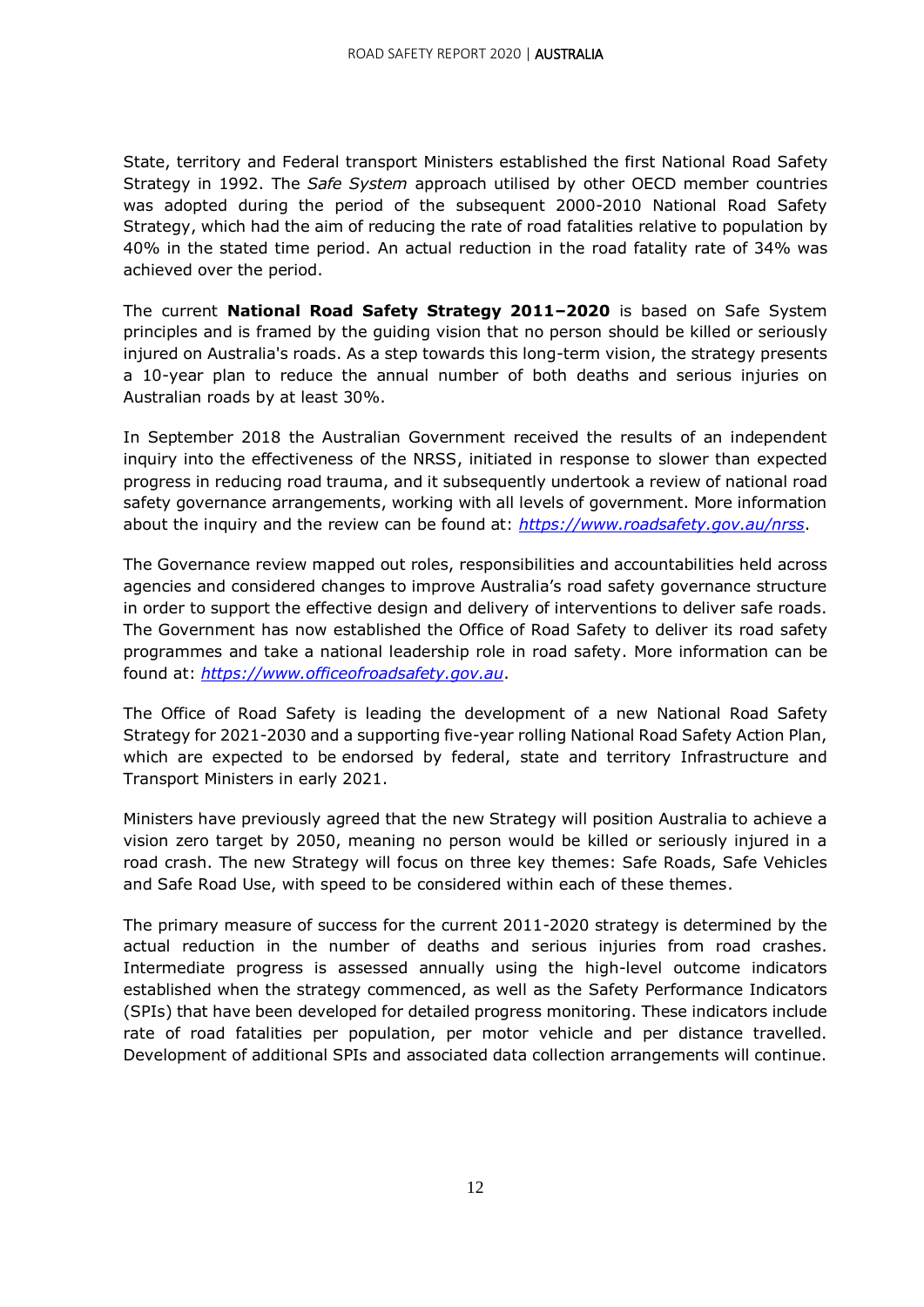State, territory and Federal transport Ministers established the first National Road Safety Strategy in 1992. The *Safe System* approach utilised by other OECD member countries was adopted during the period of the subsequent 2000-2010 National Road Safety Strategy, which had the aim of reducing the rate of road fatalities relative to population by 40% in the stated time period. An actual reduction in the road fatality rate of 34% was achieved over the period.

The current **National Road Safety Strategy 2011–2020** is based on Safe System principles and is framed by the guiding vision that no person should be killed or seriously injured on Australia's roads. As a step towards this long-term vision, the strategy presents a 10-year plan to reduce the annual number of both deaths and serious injuries on Australian roads by at least 30%.

In September 2018 the Australian Government received the results of an independent inquiry into the effectiveness of the NRSS, initiated in response to slower than expected progress in reducing road trauma, and it subsequently undertook a review of national road safety governance arrangements, working with all levels of government. More information about the inquiry and the review can be found at: *<https://www.roadsafety.gov.au/nrss>*.

The Governance review mapped out roles, responsibilities and accountabilities held across agencies and considered changes to improve Australia's road safety governance structure in order to support the effective design and delivery of interventions to deliver safe roads. The Government has now established the Office of Road Safety to deliver its road safety programmes and take a national leadership role in road safety. More information can be found at: *[https://www.officeofroadsafety.gov.au](https://www.officeofroadsafety.gov.au/)*.

The Office of Road Safety is leading the development of a new National Road Safety Strategy for 2021-2030 and a supporting five-year rolling National Road Safety Action Plan, which are expected to be endorsed by federal, state and territory Infrastructure and Transport Ministers in early 2021.

Ministers have previously agreed that the new Strategy will position Australia to achieve a vision zero target by 2050, meaning no person would be killed or seriously injured in a road crash. The new Strategy will focus on three key themes: Safe Roads, Safe Vehicles and Safe Road Use, with speed to be considered within each of these themes.

The primary measure of success for the current 2011-2020 strategy is determined by the actual reduction in the number of deaths and serious injuries from road crashes. Intermediate progress is assessed annually using the high-level outcome indicators established when the strategy commenced, as well as the Safety Performance Indicators (SPIs) that have been developed for detailed progress monitoring. These indicators include rate of road fatalities per population, per motor vehicle and per distance travelled. Development of additional SPIs and associated data collection arrangements will continue.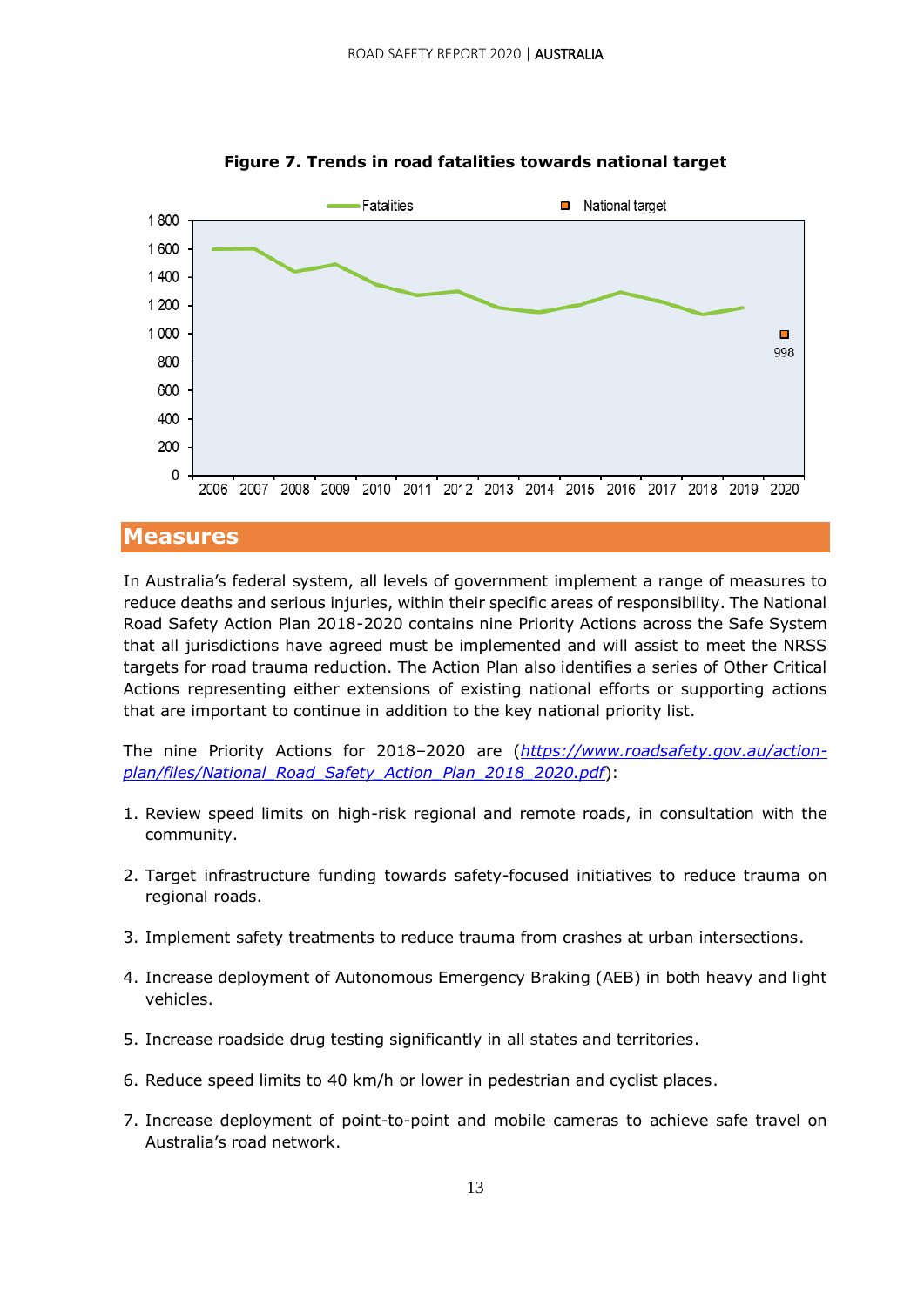

**Figure 7. Trends in road fatalities towards national target**

#### **Measures**

In Australia's federal system, all levels of government implement a range of measures to reduce deaths and serious injuries, within their specific areas of responsibility. The National Road Safety Action Plan 2018-2020 contains nine Priority Actions across the Safe System that all jurisdictions have agreed must be implemented and will assist to meet the NRSS targets for road trauma reduction. The Action Plan also identifies a series of Other Critical Actions representing either extensions of existing national efforts or supporting actions that are important to continue in addition to the key national priority list.

The nine Priority Actions for 2018–2020 are (*[https://www.roadsafety.gov.au/action](https://www.roadsafety.gov.au/action-plan/files/National_Road_Safety_Action_Plan_2018_2020.pdf)[plan/files/National\\_Road\\_Safety\\_Action\\_Plan\\_2018\\_2020.pdf](https://www.roadsafety.gov.au/action-plan/files/National_Road_Safety_Action_Plan_2018_2020.pdf)*):

- 1. Review speed limits on high-risk regional and remote roads, in consultation with the community.
- 2. Target infrastructure funding towards safety-focused initiatives to reduce trauma on regional roads.
- 3. Implement safety treatments to reduce trauma from crashes at urban intersections.
- 4. Increase deployment of Autonomous Emergency Braking (AEB) in both heavy and light vehicles.
- 5. Increase roadside drug testing significantly in all states and territories.
- 6. Reduce speed limits to 40 km/h or lower in pedestrian and cyclist places.
- 7. Increase deployment of point-to-point and mobile cameras to achieve safe travel on Australia's road network.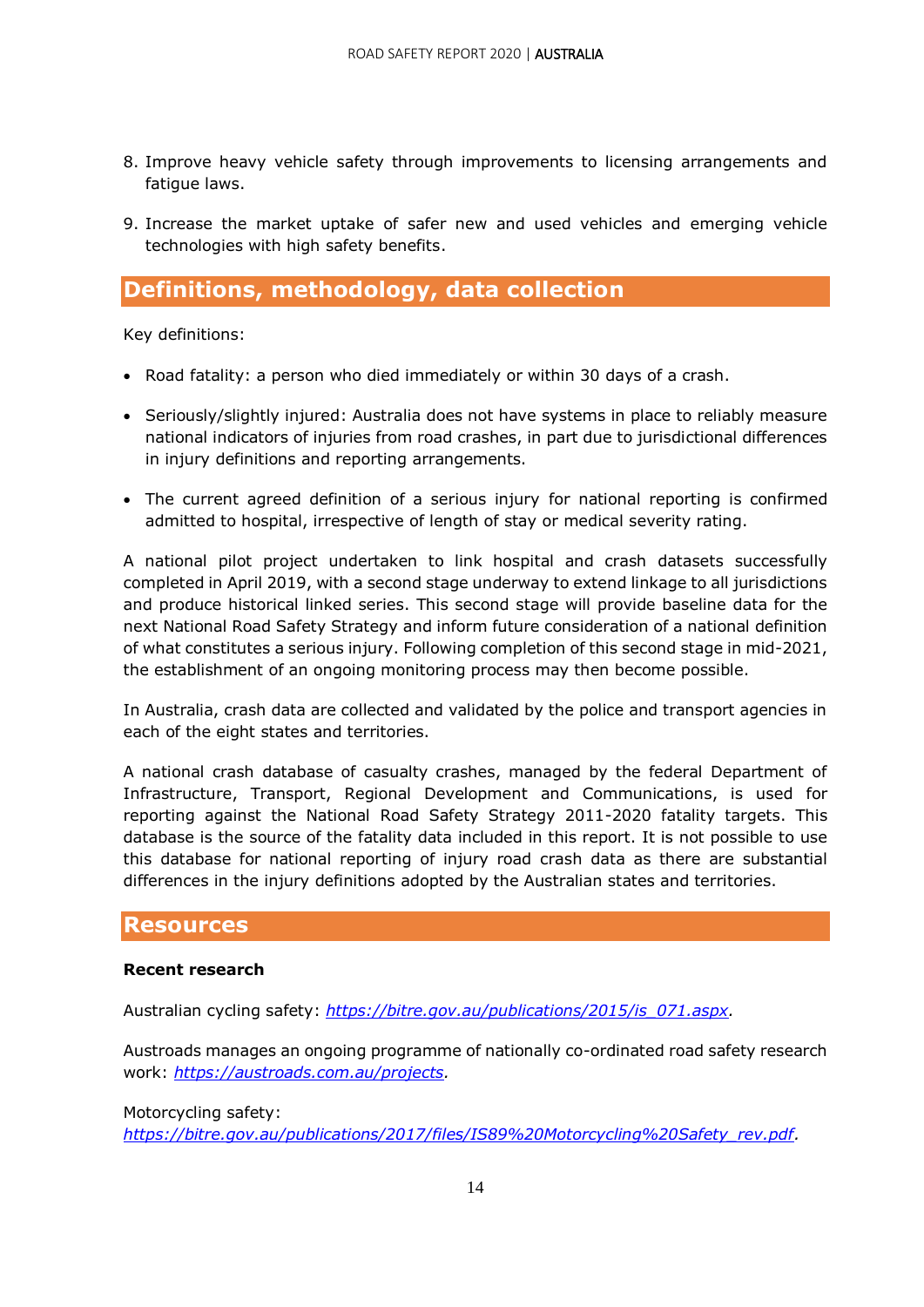- 8. Improve heavy vehicle safety through improvements to licensing arrangements and fatigue laws.
- 9. Increase the market uptake of safer new and used vehicles and emerging vehicle technologies with high safety benefits.

#### **Definitions, methodology, data collection**

Key definitions:

- Road fatality: a person who died immediately or within 30 days of a crash.
- Seriously/slightly injured: Australia does not have systems in place to reliably measure national indicators of injuries from road crashes, in part due to jurisdictional differences in injury definitions and reporting arrangements.
- The current agreed definition of a serious injury for national reporting is confirmed admitted to hospital, irrespective of length of stay or medical severity rating.

A national pilot project undertaken to link hospital and crash datasets successfully completed in April 2019, with a second stage underway to extend linkage to all jurisdictions and produce historical linked series. This second stage will provide baseline data for the next National Road Safety Strategy and inform future consideration of a national definition of what constitutes a serious injury. Following completion of this second stage in mid-2021, the establishment of an ongoing monitoring process may then become possible.

In Australia, crash data are collected and validated by the police and transport agencies in each of the eight states and territories.

A national crash database of casualty crashes, managed by the federal Department of Infrastructure, Transport, Regional Development and Communications, is used for reporting against the National Road Safety Strategy 2011-2020 fatality targets. This database is the source of the fatality data included in this report. It is not possible to use this database for national reporting of injury road crash data as there are substantial differences in the injury definitions adopted by the Australian states and territories.

#### **Resources**

#### **Recent research**

Australian cycling safety: *[https://bitre.gov.au/publications/2015/is\\_071.aspx.](https://bitre.gov.au/publications/2015/is_071.aspx)*

Austroads manages an ongoing programme of nationally co-ordinated road safety research work: *[https://austroads.com.au/projects.](https://austroads.com.au/projects)*

#### Motorcycling safety:

*[https://bitre.gov.au/publications/2017/files/IS89%20Motorcycling%20Safety\\_rev.pdf.](https://bitre.gov.au/publications/2017/files/IS89%20Motorcycling%20Safety_rev.pdf)*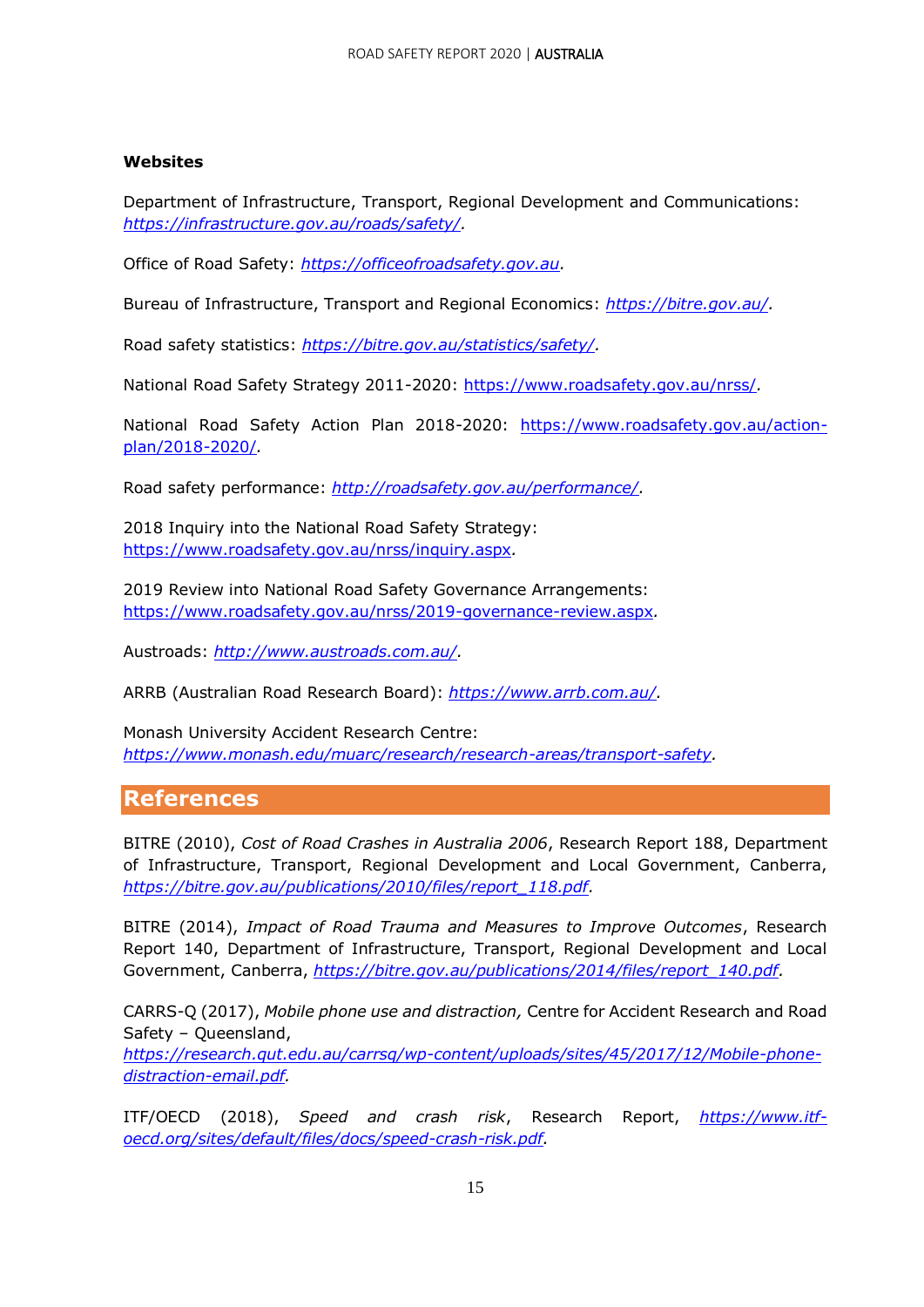#### **Websites**

Department of Infrastructure, Transport, Regional Development and Communications: *[https://infrastructure.gov.au/roads/safety/.](https://infrastructure.gov.au/roads/safety/)*

Office of Road Safety: *[https://officeofroadsafety.gov.au.](https://officeofroadsafety.gov.au/)*

Bureau of Infrastructure, Transport and Regional Economics: *[https://bitre.gov.au/.](https://bitre.gov.au/)*

Road safety statistics: *[https://bitre.gov.au/statistics/safety/.](https://bitre.gov.au/statistics/safety/)*

National Road Safety Strategy 2011-2020:<https://www.roadsafety.gov.au/nrss/>*.*

National Road Safety Action Plan 2018-2020: [https://www.roadsafety.gov.au/action](https://www.roadsafety.gov.au/action-plan/2018-2020/)[plan/2018-2020/](https://www.roadsafety.gov.au/action-plan/2018-2020/)*.*

Road safety performance: *[http://roadsafety.gov.au/performance/.](http://roadsafety.gov.au/performance/)*

2018 Inquiry into the National Road Safety Strategy: <https://www.roadsafety.gov.au/nrss/inquiry.aspx>*.*

2019 Review into National Road Safety Governance Arrangements: <https://www.roadsafety.gov.au/nrss/2019-governance-review.aspx>*.*

Austroads: *[http://www.austroads.com.au/.](http://www.austroads.com.au/)*

ARRB (Australian Road Research Board): *[https://www.arrb.com.au/.](https://www.arrb.com.au/)*

Monash University Accident Research Centre: *[https://www.monash.edu/muarc/research/research-areas/transport-safety.](https://www.monash.edu/muarc/research/research-areas/transport-safety)*

#### **References**

BITRE (2010), *Cost of Road Crashes in Australia 2006*, Research Report 188, Department of Infrastructure, Transport, Regional Development and Local Government, Canberra, *[https://bitre.gov.au/publications/2010/files/report\\_118.pdf.](https://bitre.gov.au/publications/2010/files/report_118.pdf)*

BITRE (2014), *Impact of Road Trauma and Measures to Improve Outcomes*, Research Report 140, Department of Infrastructure, Transport, Regional Development and Local Government, Canberra, *[https://bitre.gov.au/publications/2014/files/report\\_140.pdf.](https://bitre.gov.au/publications/2014/files/report_140.pdf)*

CARRS-Q (2017), *Mobile phone use and distraction,* Centre for Accident Research and Road Safety – Queensland, *[https://research.qut.edu.au/carrsq/wp-content/uploads/sites/45/2017/12/Mobile-phone](https://research.qut.edu.au/carrsq/wp-content/uploads/sites/45/2017/12/Mobile-phone-distraction-email.pdf)[distraction-email.pdf.](https://research.qut.edu.au/carrsq/wp-content/uploads/sites/45/2017/12/Mobile-phone-distraction-email.pdf)*

ITF/OECD (2018), *Speed and crash risk*, Research Report, *[https://www.itf](https://www.itf-oecd.org/sites/default/files/docs/speed-crash-risk.pdf)[oecd.org/sites/default/files/docs/speed-crash-risk.pdf.](https://www.itf-oecd.org/sites/default/files/docs/speed-crash-risk.pdf)*